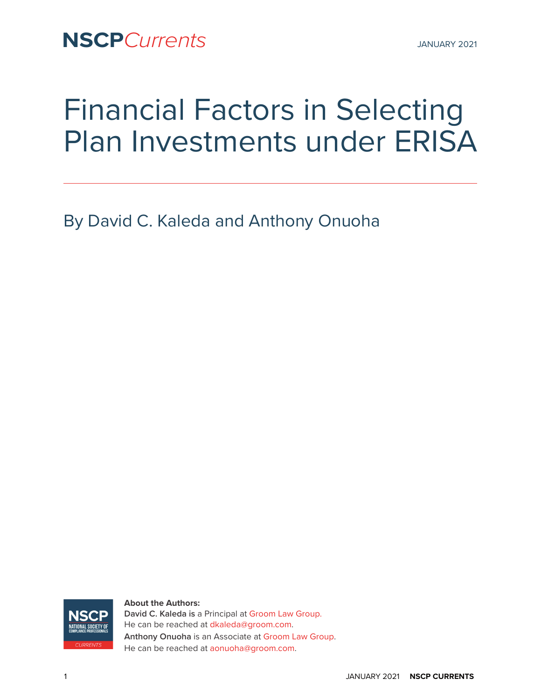**NSCP**Currents JANUARY 2021

# Financial Factors in Selecting Plan Investments under ERISA

By David C. Kaleda and Anthony Onuoha



#### **About the Authors:**

**David C. Kaleda is** a Principal at [Groom Law Group](http://groom.com). He can be reached at [dkaleda@groom.com](mailto:dkaleda@groom.com). **Anthony Onuoha** is an Associate at [Groom Law Group](http://groom.com). He can be reached at [aonuoha@groom.com.](mailto:aonuoha@groom.com)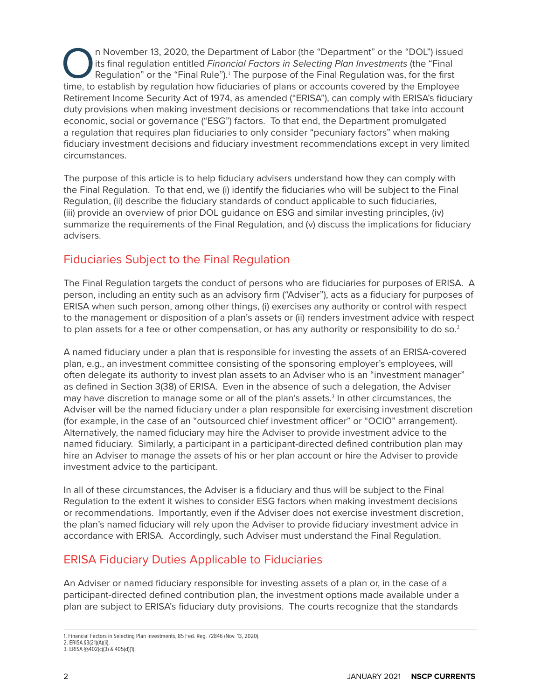In November 13, 2020, the Department of Labor (the "Department" or the "DOL") issued<br>its final regulation entitled *Financial Factors in Selecting Plan Investments* (the "Final<br>Regulation" or the "Final Rule").<sup>1</sup> The purp its final regulation entitled *Financial Factors in Selecting Plan Investments* (the "Final Regulation" or the "Final Rule").<sup>1</sup> The purpose of the Final Regulation was, for the first time, to establish by regulation how fiduciaries of plans or accounts covered by the Employee Retirement Income Security Act of 1974, as amended ("ERISA"), can comply with ERISA's fiduciary duty provisions when making investment decisions or recommendations that take into account economic, social or governance ("ESG") factors. To that end, the Department promulgated a regulation that requires plan fiduciaries to only consider "pecuniary factors" when making fiduciary investment decisions and fiduciary investment recommendations except in very limited circumstances.

The purpose of this article is to help fiduciary advisers understand how they can comply with the Final Regulation. To that end, we (i) identify the fiduciaries who will be subject to the Final Regulation, (ii) describe the fiduciary standards of conduct applicable to such fiduciaries, (iii) provide an overview of prior DOL guidance on ESG and similar investing principles, (iv) summarize the requirements of the Final Regulation, and (v) discuss the implications for fiduciary advisers.

# Fiduciaries Subject to the Final Regulation

The Final Regulation targets the conduct of persons who are fiduciaries for purposes of ERISA. A person, including an entity such as an advisory firm ("Adviser"), acts as a fiduciary for purposes of ERISA when such person, among other things, (i) exercises any authority or control with respect to the management or disposition of a plan's assets or (ii) renders investment advice with respect to plan assets for a fee or other compensation, or has any authority or responsibility to do so. $^2$ 

A named fiduciary under a plan that is responsible for investing the assets of an ERISA-covered plan, e.g., an investment committee consisting of the sponsoring employer's employees, will often delegate its authority to invest plan assets to an Adviser who is an "investment manager" as defined in Section 3(38) of ERISA. Even in the absence of such a delegation, the Adviser may have discretion to manage some or all of the plan's assets.<sup>3</sup> In other circumstances, the Adviser will be the named fiduciary under a plan responsible for exercising investment discretion (for example, in the case of an "outsourced chief investment officer" or "OCIO" arrangement). Alternatively, the named fiduciary may hire the Adviser to provide investment advice to the named fiduciary. Similarly, a participant in a participant-directed defined contribution plan may hire an Adviser to manage the assets of his or her plan account or hire the Adviser to provide investment advice to the participant.

In all of these circumstances, the Adviser is a fiduciary and thus will be subject to the Final Regulation to the extent it wishes to consider ESG factors when making investment decisions or recommendations. Importantly, even if the Adviser does not exercise investment discretion, the plan's named fiduciary will rely upon the Adviser to provide fiduciary investment advice in accordance with ERISA. Accordingly, such Adviser must understand the Final Regulation.

# ERISA Fiduciary Duties Applicable to Fiduciaries

An Adviser or named fiduciary responsible for investing assets of a plan or, in the case of a participant-directed defined contribution plan, the investment options made available under a plan are subject to ERISA's fiduciary duty provisions. The courts recognize that the standards

<sup>1.</sup> Financial Factors in Selecting Plan Investments, 85 Fed. Reg. 72846 (Nov. 13, 2020).

<sup>2.</sup> ERISA §3(21)(A)(ii).

<sup>3.</sup> ERISA §§402(c)(3) & 405(d)(1).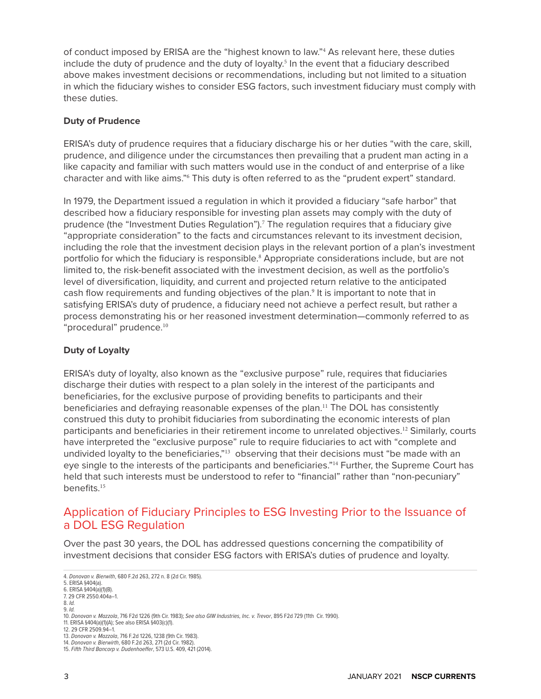of conduct imposed by ERISA are the "highest known to law."<sup>4</sup> As relevant here, these duties include the duty of prudence and the duty of loyalty.<sup>5</sup> In the event that a fiduciary described above makes investment decisions or recommendations, including but not limited to a situation in which the fiduciary wishes to consider ESG factors, such investment fiduciary must comply with these duties.

## **Duty of Prudence**

ERISA's duty of prudence requires that a fiduciary discharge his or her duties "with the care, skill, prudence, and diligence under the circumstances then prevailing that a prudent man acting in a like capacity and familiar with such matters would use in the conduct of and enterprise of a like character and with like aims."<sup>6</sup> This duty is often referred to as the "prudent expert" standard.

In 1979, the Department issued a regulation in which it provided a fiduciary "safe harbor" that described how a fiduciary responsible for investing plan assets may comply with the duty of prudence (the "Investment Duties Regulation").<sup>7</sup> The regulation requires that a fiduciary give "appropriate consideration" to the facts and circumstances relevant to its investment decision, including the role that the investment decision plays in the relevant portion of a plan's investment portfolio for which the fiduciary is responsible.<sup>8</sup> Appropriate considerations include, but are not limited to, the risk-benefit associated with the investment decision, as well as the portfolio's level of diversification, liquidity, and current and projected return relative to the anticipated cash flow requirements and funding objectives of the plan.<sup>9</sup> It is important to note that in satisfying ERISA's duty of prudence, a fiduciary need not achieve a perfect result, but rather a process demonstrating his or her reasoned investment determination—commonly referred to as "procedural" prudence.<sup>10</sup>

## **Duty of Loyalty**

ERISA's duty of loyalty, also known as the "exclusive purpose" rule, requires that fiduciaries discharge their duties with respect to a plan solely in the interest of the participants and beneficiaries, for the exclusive purpose of providing benefits to participants and their beneficiaries and defraying reasonable expenses of the plan.<sup>11</sup> The DOL has consistently construed this duty to prohibit fiduciaries from subordinating the economic interests of plan participants and beneficiaries in their retirement income to unrelated objectives.12 Similarly, courts have interpreted the "exclusive purpose" rule to require fiduciaries to act with "complete and undivided loyalty to the beneficiaries,"<sup>13</sup> observing that their decisions must "be made with an eye single to the interests of the participants and beneficiaries."<sup>14</sup> Further, the Supreme Court has held that such interests must be understood to refer to "financial" rather than "non-pecuniary" benefits.<sup>15</sup>

# Application of Fiduciary Principles to ESG Investing Prior to the Issuance of a DOL ESG Regulation

Over the past 30 years, the DOL has addressed questions concerning the compatibility of investment decisions that consider ESG factors with ERISA's duties of prudence and loyalty.

<sup>4.</sup> *Donovan v. Bierwith*, 680 F.2d 263, 272 n. 8 (2d Cir. 1985).

<sup>5.</sup> ERISA §404(a). 6. ERISA §404(a)(1)(B).

<sup>7. 29</sup> CFR 2550.404a–1.

<sup>8.</sup> *Id.*

<sup>9.</sup> *Id.*

<sup>10.</sup> *Donovan v. Mazzola*, 716 F2d 1226 (9th Cir. 1983); *See also GIW Industries, Inc. v. Trevor*, 895 F2d 729 (11th Cir. 1990).

<sup>11.</sup> ERISA §404(a)(1)(A); See also ERISA §403(c)(1).

<sup>12. 29</sup> CFR 2509.94–1.

<sup>13.</sup> *Donovan v. Mazzola*, 716 F.2d 1226, 1238 (9th Cir. 1983). 14. *Donovan v. Bierwirth*, 680 F.2d 263, 271 (2d Cir. 1982).

<sup>15.</sup> *Fifth Third Bancorp v. Dudenhoeffer*, 573 U.S. 409, 421 (2014).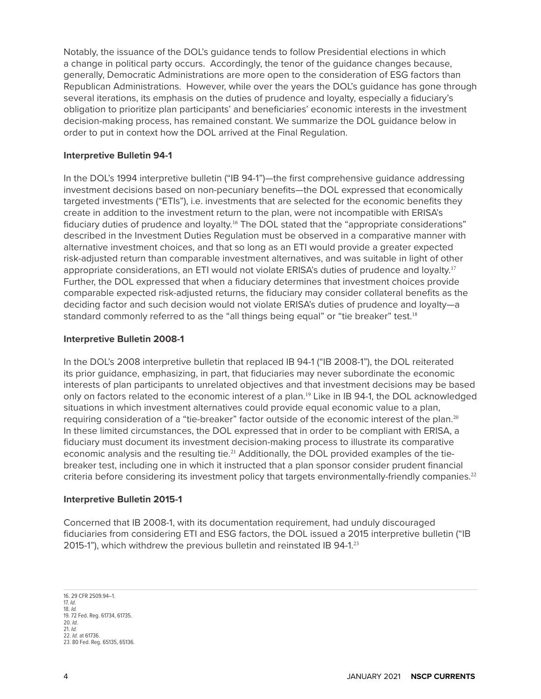Notably, the issuance of the DOL's guidance tends to follow Presidential elections in which a change in political party occurs. Accordingly, the tenor of the guidance changes because, generally, Democratic Administrations are more open to the consideration of ESG factors than Republican Administrations. However, while over the years the DOL's guidance has gone through several iterations, its emphasis on the duties of prudence and loyalty, especially a fiduciary's obligation to prioritize plan participants' and beneficiaries' economic interests in the investment decision-making process, has remained constant. We summarize the DOL guidance below in order to put in context how the DOL arrived at the Final Regulation.

## **Interpretive Bulletin 94-1**

In the DOL's 1994 interpretive bulletin ("IB 94-1")—the first comprehensive guidance addressing investment decisions based on non-pecuniary benefits—the DOL expressed that economically targeted investments ("ETIs"), i.e. investments that are selected for the economic benefits they create in addition to the investment return to the plan, were not incompatible with ERISA's fiduciary duties of prudence and loyalty.<sup>16</sup> The DOL stated that the "appropriate considerations" described in the Investment Duties Regulation must be observed in a comparative manner with alternative investment choices, and that so long as an ETI would provide a greater expected risk-adjusted return than comparable investment alternatives, and was suitable in light of other appropriate considerations, an ETI would not violate ERISA's duties of prudence and loyalty.<sup>17</sup> Further, the DOL expressed that when a fiduciary determines that investment choices provide comparable expected risk-adjusted returns, the fiduciary may consider collateral benefits as the deciding factor and such decision would not violate ERISA's duties of prudence and loyalty—a standard commonly referred to as the "all things being equal" or "tie breaker" test.<sup>18</sup>

#### **Interpretive Bulletin 2008-1**

In the DOL's 2008 interpretive bulletin that replaced IB 94-1 ("IB 2008-1"), the DOL reiterated its prior guidance, emphasizing, in part, that fiduciaries may never subordinate the economic interests of plan participants to unrelated objectives and that investment decisions may be based only on factors related to the economic interest of a plan.<sup>19</sup> Like in IB 94-1, the DOL acknowledged situations in which investment alternatives could provide equal economic value to a plan, requiring consideration of a "tie-breaker" factor outside of the economic interest of the plan.<sup>20</sup> In these limited circumstances, the DOL expressed that in order to be compliant with ERISA, a fiduciary must document its investment decision-making process to illustrate its comparative economic analysis and the resulting tie.<sup>21</sup> Additionally, the DOL provided examples of the tiebreaker test, including one in which it instructed that a plan sponsor consider prudent financial criteria before considering its investment policy that targets environmentally-friendly companies.<sup>22</sup>

#### **Interpretive Bulletin 2015-1**

Concerned that IB 2008-1, with its documentation requirement, had unduly discouraged fiduciaries from considering ETI and ESG factors, the DOL issued a 2015 interpretive bulletin ("IB 2015-1"), which withdrew the previous bulletin and reinstated IB 94-1.<sup>23</sup>

16. 29 CFR 2509.94–1. 17. *Id.* 18. *Id.* 19. 72 Fed. Reg. 61734, 61735. 20. *Id.* 21. *Id.* 22. *Id.* at 61736. 23. 80 Fed. Reg. 65135, 65136.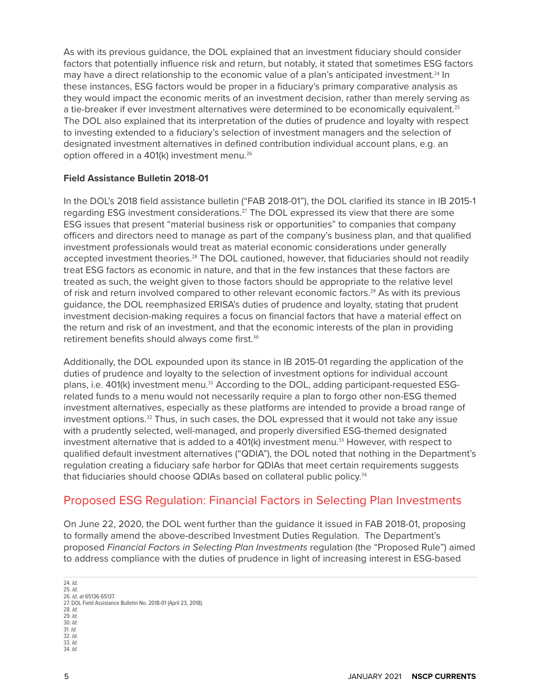As with its previous guidance, the DOL explained that an investment fiduciary should consider factors that potentially influence risk and return, but notably, it stated that sometimes ESG factors may have a direct relationship to the economic value of a plan's anticipated investment.<sup>24</sup> In these instances, ESG factors would be proper in a fiduciary's primary comparative analysis as they would impact the economic merits of an investment decision, rather than merely serving as a tie-breaker if ever investment alternatives were determined to be economically equivalent.<sup>25</sup> The DOL also explained that its interpretation of the duties of prudence and loyalty with respect to investing extended to a fiduciary's selection of investment managers and the selection of designated investment alternatives in defined contribution individual account plans, e.g. an option offered in a 401(k) investment menu.<sup>26</sup>

#### **Field Assistance Bulletin 2018-01**

In the DOL's 2018 field assistance bulletin ("FAB 2018-01"), the DOL clarified its stance in IB 2015-1 regarding ESG investment considerations.27 The DOL expressed its view that there are some ESG issues that present "material business risk or opportunities" to companies that company officers and directors need to manage as part of the company's business plan, and that qualified investment professionals would treat as material economic considerations under generally accepted investment theories.<sup>28</sup> The DOL cautioned, however, that fiduciaries should not readily treat ESG factors as economic in nature, and that in the few instances that these factors are treated as such, the weight given to those factors should be appropriate to the relative level of risk and return involved compared to other relevant economic factors.29 As with its previous guidance, the DOL reemphasized ERISA's duties of prudence and loyalty, stating that prudent investment decision-making requires a focus on financial factors that have a material effect on the return and risk of an investment, and that the economic interests of the plan in providing retirement benefits should always come first.<sup>30</sup>

Additionally, the DOL expounded upon its stance in IB 2015-01 regarding the application of the duties of prudence and loyalty to the selection of investment options for individual account plans, i.e. 401(k) investment menu.<sup>31</sup> According to the DOL, adding participant-requested ESGrelated funds to a menu would not necessarily require a plan to forgo other non-ESG themed investment alternatives, especially as these platforms are intended to provide a broad range of investment options.<sup>32</sup> Thus, in such cases, the DOL expressed that it would not take any issue with a prudently selected, well-managed, and properly diversified ESG-themed designated investment alternative that is added to a  $401(k)$  investment menu.<sup>33</sup> However, with respect to qualified default investment alternatives ("QDIA"), the DOL noted that nothing in the Department's regulation creating a fiduciary safe harbor for QDIAs that meet certain requirements suggests that fiduciaries should choose QDIAs based on collateral public policy.<sup>34</sup>

## Proposed ESG Regulation: Financial Factors in Selecting Plan Investments

On June 22, 2020, the DOL went further than the guidance it issued in FAB 2018-01, proposing to formally amend the above-described Investment Duties Regulation. The Department's proposed *Financial Factors in Selecting Plan Investments* regulation (the "Proposed Rule") aimed to address compliance with the duties of prudence in light of increasing interest in ESG-based

24. *Id.*

27. DOL Field Assistance Bulletin No. 2018-01 (April 23, 2018).

28. *Id.*

29. *Id.*

30. *Id.* 31. *Id.*

- 32. *Id.*
- 33. *Id.*
- 34. *Id.*

<sup>25.</sup> *Id.* 26. *Id.* at 65136-65137.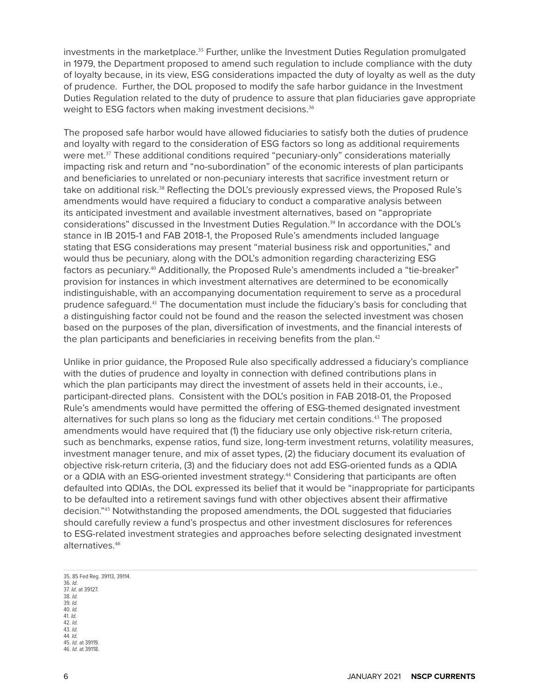investments in the marketplace.<sup>35</sup> Further, unlike the Investment Duties Regulation promulgated in 1979, the Department proposed to amend such regulation to include compliance with the duty of loyalty because, in its view, ESG considerations impacted the duty of loyalty as well as the duty of prudence. Further, the DOL proposed to modify the safe harbor guidance in the Investment Duties Regulation related to the duty of prudence to assure that plan fiduciaries gave appropriate weight to ESG factors when making investment decisions.<sup>36</sup>

The proposed safe harbor would have allowed fiduciaries to satisfy both the duties of prudence and loyalty with regard to the consideration of ESG factors so long as additional requirements were met.<sup>37</sup> These additional conditions required "pecuniary-only" considerations materially impacting risk and return and "no-subordination" of the economic interests of plan participants and beneficiaries to unrelated or non-pecuniary interests that sacrifice investment return or take on additional risk.<sup>38</sup> Reflecting the DOL's previously expressed views, the Proposed Rule's amendments would have required a fiduciary to conduct a comparative analysis between its anticipated investment and available investment alternatives, based on "appropriate considerations" discussed in the Investment Duties Regulation.<sup>39</sup> In accordance with the DOL's stance in IB 2015-1 and FAB 2018-1, the Proposed Rule's amendments included language stating that ESG considerations may present "material business risk and opportunities," and would thus be pecuniary, along with the DOL's admonition regarding characterizing ESG factors as pecuniary.<sup>40</sup> Additionally, the Proposed Rule's amendments included a "tie-breaker" provision for instances in which investment alternatives are determined to be economically indistinguishable, with an accompanying documentation requirement to serve as a procedural prudence safeguard.41 The documentation must include the fiduciary's basis for concluding that a distinguishing factor could not be found and the reason the selected investment was chosen based on the purposes of the plan, diversification of investments, and the financial interests of the plan participants and beneficiaries in receiving benefits from the plan. $42$ 

Unlike in prior guidance, the Proposed Rule also specifically addressed a fiduciary's compliance with the duties of prudence and loyalty in connection with defined contributions plans in which the plan participants may direct the investment of assets held in their accounts, i.e., participant-directed plans. Consistent with the DOL's position in FAB 2018-01, the Proposed Rule's amendments would have permitted the offering of ESG-themed designated investment alternatives for such plans so long as the fiduciary met certain conditions.<sup>43</sup> The proposed amendments would have required that (1) the fiduciary use only objective risk-return criteria, such as benchmarks, expense ratios, fund size, long-term investment returns, volatility measures, investment manager tenure, and mix of asset types, (2) the fiduciary document its evaluation of objective risk-return criteria, (3) and the fiduciary does not add ESG-oriented funds as a QDIA or a QDIA with an ESG-oriented investment strategy.<sup>44</sup> Considering that participants are often defaulted into QDIAs, the DOL expressed its belief that it would be "inappropriate for participants to be defaulted into a retirement savings fund with other objectives absent their affirmative decision."45 Notwithstanding the proposed amendments, the DOL suggested that fiduciaries should carefully review a fund's prospectus and other investment disclosures for references to ESG-related investment strategies and approaches before selecting designated investment alternatives.<sup>46</sup>

35. 85 Fed Reg. 39113, 39114. 36. *Id.* 37. *Id.* at 39127. 38. *Id.* 39. *Id.* 40. *Id.* 41. *Id.* 42. *Id.* 43. *Id.* 44. *Id.* 45. *Id.* at 39119. 46. *Id.* at 39118.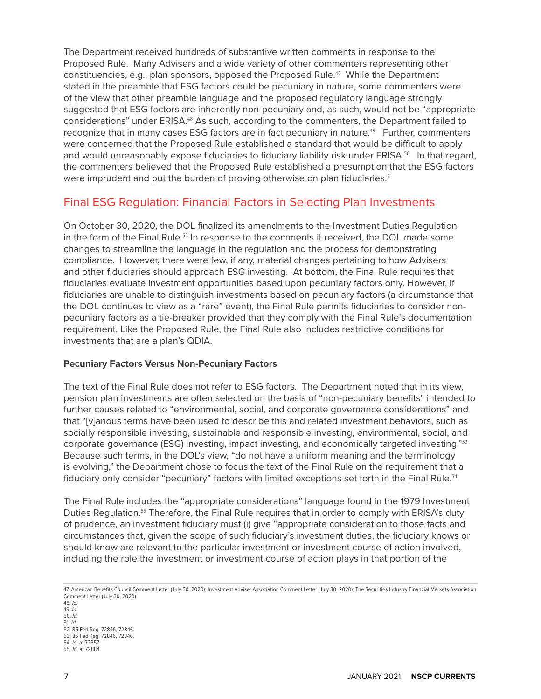The Department received hundreds of substantive written comments in response to the Proposed Rule. Many Advisers and a wide variety of other commenters representing other constituencies, e.g., plan sponsors, opposed the Proposed Rule.47 While the Department stated in the preamble that ESG factors could be pecuniary in nature, some commenters were of the view that other preamble language and the proposed regulatory language strongly suggested that ESG factors are inherently non-pecuniary and, as such, would not be "appropriate considerations" under ERISA.<sup>48</sup> As such, according to the commenters, the Department failed to recognize that in many cases ESG factors are in fact pecuniary in nature.<sup>49</sup> Further, commenters were concerned that the Proposed Rule established a standard that would be difficult to apply and would unreasonably expose fiduciaries to fiduciary liability risk under ERISA.<sup>50</sup> In that regard, the commenters believed that the Proposed Rule established a presumption that the ESG factors were imprudent and put the burden of proving otherwise on plan fiduciaries.<sup>51</sup>

# Final ESG Regulation: Financial Factors in Selecting Plan Investments

On October 30, 2020, the DOL finalized its amendments to the Investment Duties Regulation in the form of the Final Rule.<sup>52</sup> In response to the comments it received, the DOL made some changes to streamline the language in the regulation and the process for demonstrating compliance. However, there were few, if any, material changes pertaining to how Advisers and other fiduciaries should approach ESG investing. At bottom, the Final Rule requires that fiduciaries evaluate investment opportunities based upon pecuniary factors only. However, if fiduciaries are unable to distinguish investments based on pecuniary factors (a circumstance that the DOL continues to view as a "rare" event), the Final Rule permits fiduciaries to consider nonpecuniary factors as a tie-breaker provided that they comply with the Final Rule's documentation requirement. Like the Proposed Rule, the Final Rule also includes restrictive conditions for investments that are a plan's QDIA.

## **Pecuniary Factors Versus Non-Pecuniary Factors**

The text of the Final Rule does not refer to ESG factors. The Department noted that in its view, pension plan investments are often selected on the basis of "non-pecuniary benefits" intended to further causes related to "environmental, social, and corporate governance considerations" and that "[v]arious terms have been used to describe this and related investment behaviors, such as socially responsible investing, sustainable and responsible investing, environmental, social, and corporate governance (ESG) investing, impact investing, and economically targeted investing."<sup>53</sup> Because such terms, in the DOL's view, "do not have a uniform meaning and the terminology is evolving," the Department chose to focus the text of the Final Rule on the requirement that a fiduciary only consider "pecuniary" factors with limited exceptions set forth in the Final Rule.<sup>54</sup>

The Final Rule includes the "appropriate considerations" language found in the 1979 Investment Duties Regulation.<sup>55</sup> Therefore, the Final Rule requires that in order to comply with ERISA's duty of prudence, an investment fiduciary must (i) give "appropriate consideration to those facts and circumstances that, given the scope of such fiduciary's investment duties, the fiduciary knows or should know are relevant to the particular investment or investment course of action involved, including the role the investment or investment course of action plays in that portion of the

47. American Benefits Council Comment Letter (July 30, 2020); Investment Adviser Association Comment Letter (July 30, 2020); The Securities Industry Financial Markets Association Comment Letter (July 30, 2020).

48. *Id.* 49. *Id.* 50. *Id.* 51. *Id.* 52. 85 Fed Reg. 72846, 72846. 53. 85 Fed Reg. 72846, 72846. 54. *Id.* at 72857. 55. *Id*. at 72884.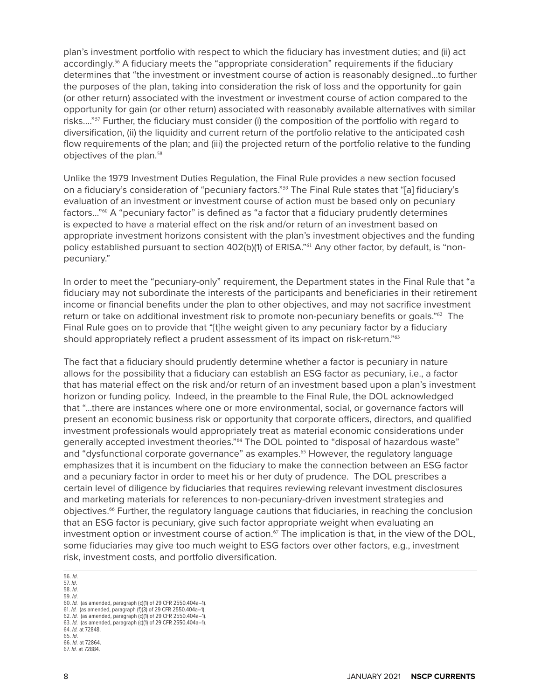plan's investment portfolio with respect to which the fiduciary has investment duties; and (ii) act accordingly.56 A fiduciary meets the "appropriate consideration" requirements if the fiduciary determines that "the investment or investment course of action is reasonably designed…to further the purposes of the plan, taking into consideration the risk of loss and the opportunity for gain (or other return) associated with the investment or investment course of action compared to the opportunity for gain (or other return) associated with reasonably available alternatives with similar risks…."57 Further, the fiduciary must consider (i) the composition of the portfolio with regard to diversification, (ii) the liquidity and current return of the portfolio relative to the anticipated cash flow requirements of the plan; and (iii) the projected return of the portfolio relative to the funding objectives of the plan.<sup>58</sup>

Unlike the 1979 Investment Duties Regulation, the Final Rule provides a new section focused on a fiduciary's consideration of "pecuniary factors."<sup>59</sup> The Final Rule states that "[a] fiduciary's evaluation of an investment or investment course of action must be based only on pecuniary factors…"60 A "pecuniary factor" is defined as "a factor that a fiduciary prudently determines is expected to have a material effect on the risk and/or return of an investment based on appropriate investment horizons consistent with the plan's investment objectives and the funding policy established pursuant to section 402(b)(1) of ERISA."<sup>61</sup> Any other factor, by default, is "nonpecuniary."

In order to meet the "pecuniary-only" requirement, the Department states in the Final Rule that "a fiduciary may not subordinate the interests of the participants and beneficiaries in their retirement income or financial benefits under the plan to other objectives, and may not sacrifice investment return or take on additional investment risk to promote non-pecuniary benefits or goals."<sup>62</sup> The Final Rule goes on to provide that "[t]he weight given to any pecuniary factor by a fiduciary should appropriately reflect a prudent assessment of its impact on risk-return."<sup>63</sup>

The fact that a fiduciary should prudently determine whether a factor is pecuniary in nature allows for the possibility that a fiduciary can establish an ESG factor as pecuniary, i.e., a factor that has material effect on the risk and/or return of an investment based upon a plan's investment horizon or funding policy. Indeed, in the preamble to the Final Rule, the DOL acknowledged that "…there are instances where one or more environmental, social, or governance factors will present an economic business risk or opportunity that corporate officers, directors, and qualified investment professionals would appropriately treat as material economic considerations under generally accepted investment theories."64 The DOL pointed to "disposal of hazardous waste" and "dysfunctional corporate governance" as examples.<sup>65</sup> However, the regulatory language emphasizes that it is incumbent on the fiduciary to make the connection between an ESG factor and a pecuniary factor in order to meet his or her duty of prudence. The DOL prescribes a certain level of diligence by fiduciaries that requires reviewing relevant investment disclosures and marketing materials for references to non-pecuniary-driven investment strategies and objectives.66 Further, the regulatory language cautions that fiduciaries, in reaching the conclusion that an ESG factor is pecuniary, give such factor appropriate weight when evaluating an investment option or investment course of action.<sup>67</sup> The implication is that, in the view of the DOL, some fiduciaries may give too much weight to ESG factors over other factors, e.g., investment risk, investment costs, and portfolio diversification.

56. *Id*. 57. *Id*. 58. *Id*. 59. *Id*. 60. *Id.* (as amended, paragraph (c)(1) of 29 CFR 2550.404a–1). 61. *Id.* (as amended, paragraph (f)(3) of 29 CFR 2550.404a–1). 62. *Id.* (as amended, paragraph (c)(1) of 29 CFR 2550.404a–1). 63. *Id.* (as amended, paragraph (c)(1) of 29 CFR 2550.404a–1). 64. *Id.* at 72848. 65. *Id*. 66. *Id.* at 72864. 67. *Id.* at 72884.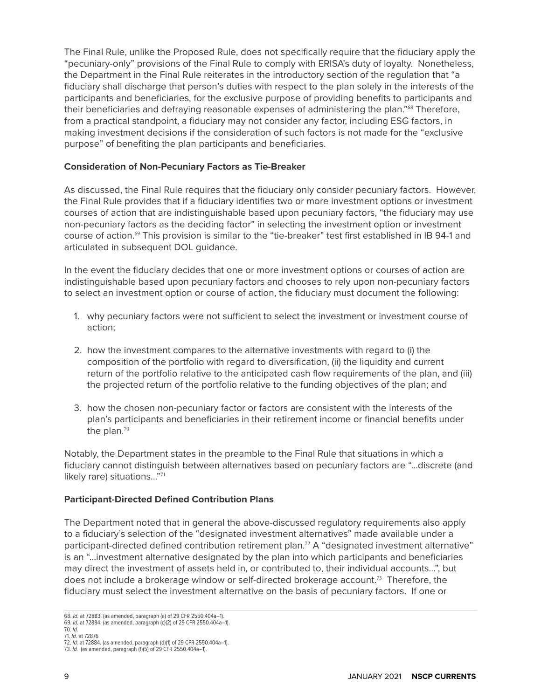The Final Rule, unlike the Proposed Rule, does not specifically require that the fiduciary apply the "pecuniary-only" provisions of the Final Rule to comply with ERISA's duty of loyalty. Nonetheless, the Department in the Final Rule reiterates in the introductory section of the regulation that "a fiduciary shall discharge that person's duties with respect to the plan solely in the interests of the participants and beneficiaries, for the exclusive purpose of providing benefits to participants and their beneficiaries and defraying reasonable expenses of administering the plan."<sup>68</sup> Therefore, from a practical standpoint, a fiduciary may not consider any factor, including ESG factors, in making investment decisions if the consideration of such factors is not made for the "exclusive purpose" of benefiting the plan participants and beneficiaries.

## **Consideration of Non-Pecuniary Factors as Tie-Breaker**

As discussed, the Final Rule requires that the fiduciary only consider pecuniary factors. However, the Final Rule provides that if a fiduciary identifies two or more investment options or investment courses of action that are indistinguishable based upon pecuniary factors, "the fiduciary may use non-pecuniary factors as the deciding factor" in selecting the investment option or investment course of action.69 This provision is similar to the "tie-breaker" test first established in IB 94-1 and articulated in subsequent DOL guidance.

In the event the fiduciary decides that one or more investment options or courses of action are indistinguishable based upon pecuniary factors and chooses to rely upon non-pecuniary factors to select an investment option or course of action, the fiduciary must document the following:

- 1. why pecuniary factors were not sufficient to select the investment or investment course of action;
- 2. how the investment compares to the alternative investments with regard to (i) the composition of the portfolio with regard to diversification, (ii) the liquidity and current return of the portfolio relative to the anticipated cash flow requirements of the plan, and (iii) the projected return of the portfolio relative to the funding objectives of the plan; and
- 3. how the chosen non-pecuniary factor or factors are consistent with the interests of the plan's participants and beneficiaries in their retirement income or financial benefits under the plan.<sup>70</sup>

Notably, the Department states in the preamble to the Final Rule that situations in which a fiduciary cannot distinguish between alternatives based on pecuniary factors are "…discrete (and likely rare) situations…"<sup>71</sup>

#### **Participant-Directed Defined Contribution Plans**

The Department noted that in general the above-discussed regulatory requirements also apply to a fiduciary's selection of the "designated investment alternatives" made available under a participant-directed defined contribution retirement plan.<sup>72</sup> A "designated investment alternative" is an "…investment alternative designated by the plan into which participants and beneficiaries may direct the investment of assets held in, or contributed to, their individual accounts…", but does not include a brokerage window or self-directed brokerage account.73 Therefore, the fiduciary must select the investment alternative on the basis of pecuniary factors. If one or

<sup>68.</sup> *Id.* at 72883. (as amended, paragraph (a) of 29 CFR 2550.404a–1).

<sup>69.</sup> *Id.* at 72884. (as amended, paragraph (c)(2) of 29 CFR 2550.404a–1). 70. *Id.*

<sup>71.</sup> *Id.* at 72876

<sup>72.</sup> *Id.* at 72884. (as amended, paragraph (d)(1) of 29 CFR 2550.404a–1). 73. *Id.* (as amended, paragraph (f)(5) of 29 CFR 2550.404a–1).